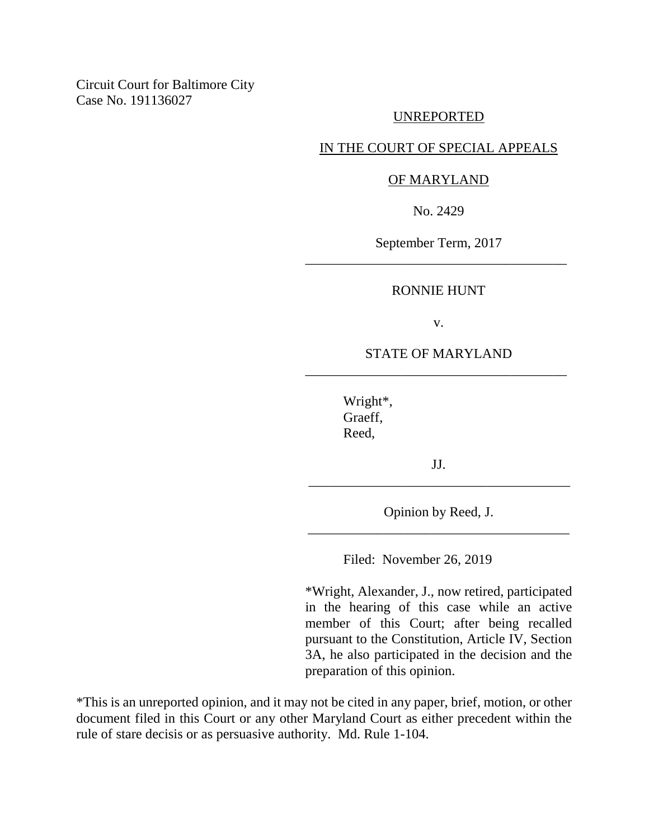# UNREPORTED

# IN THE COURT OF SPECIAL APPEALS

## OF MARYLAND

No. 2429

September Term, 2017 \_\_\_\_\_\_\_\_\_\_\_\_\_\_\_\_\_\_\_\_\_\_\_\_\_\_\_\_\_\_\_\_\_\_\_\_\_\_

## RONNIE HUNT

v.

# STATE OF MARYLAND \_\_\_\_\_\_\_\_\_\_\_\_\_\_\_\_\_\_\_\_\_\_\_\_\_\_\_\_\_\_\_\_\_\_\_\_\_\_

Wright\*, Graeff, Reed,

JJ. \_\_\_\_\_\_\_\_\_\_\_\_\_\_\_\_\_\_\_\_\_\_\_\_\_\_\_\_\_\_\_\_\_\_\_\_\_\_

Opinion by Reed, J. \_\_\_\_\_\_\_\_\_\_\_\_\_\_\_\_\_\_\_\_\_\_\_\_\_\_\_\_\_\_\_\_\_\_\_\_\_\_

Filed: November 26, 2019

\*Wright, Alexander, J., now retired, participated in the hearing of this case while an active member of this Court; after being recalled pursuant to the Constitution, Article IV, Section 3A, he also participated in the decision and the preparation of this opinion.

\*This is an unreported opinion, and it may not be cited in any paper, brief, motion, or other document filed in this Court or any other Maryland Court as either precedent within the rule of stare decisis or as persuasive authority. Md. Rule 1-104.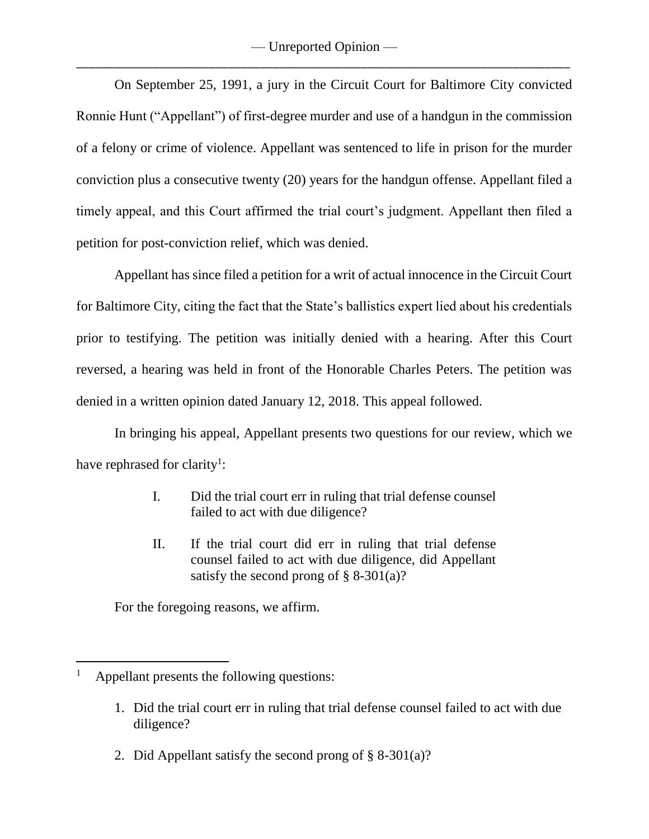On September 25, 1991, a jury in the Circuit Court for Baltimore City convicted Ronnie Hunt ("Appellant") of first-degree murder and use of a handgun in the commission of a felony or crime of violence. Appellant was sentenced to life in prison for the murder conviction plus a consecutive twenty (20) years for the handgun offense. Appellant filed a timely appeal, and this Court affirmed the trial court's judgment. Appellant then filed a petition for post-conviction relief, which was denied.

Appellant has since filed a petition for a writ of actual innocence in the Circuit Court for Baltimore City, citing the fact that the State's ballistics expert lied about his credentials prior to testifying. The petition was initially denied with a hearing. After this Court reversed, a hearing was held in front of the Honorable Charles Peters. The petition was denied in a written opinion dated January 12, 2018. This appeal followed.

In bringing his appeal, Appellant presents two questions for our review, which we have rephrased for clarity<sup>1</sup>:

- I. Did the trial court err in ruling that trial defense counsel failed to act with due diligence?
- II. If the trial court did err in ruling that trial defense counsel failed to act with due diligence, did Appellant satisfy the second prong of  $\S$  8-301(a)?

For the foregoing reasons, we affirm.

 $\overline{a}$ 

- 1. Did the trial court err in ruling that trial defense counsel failed to act with due diligence?
- 2. Did Appellant satisfy the second prong of  $\S$  8-301(a)?

Appellant presents the following questions: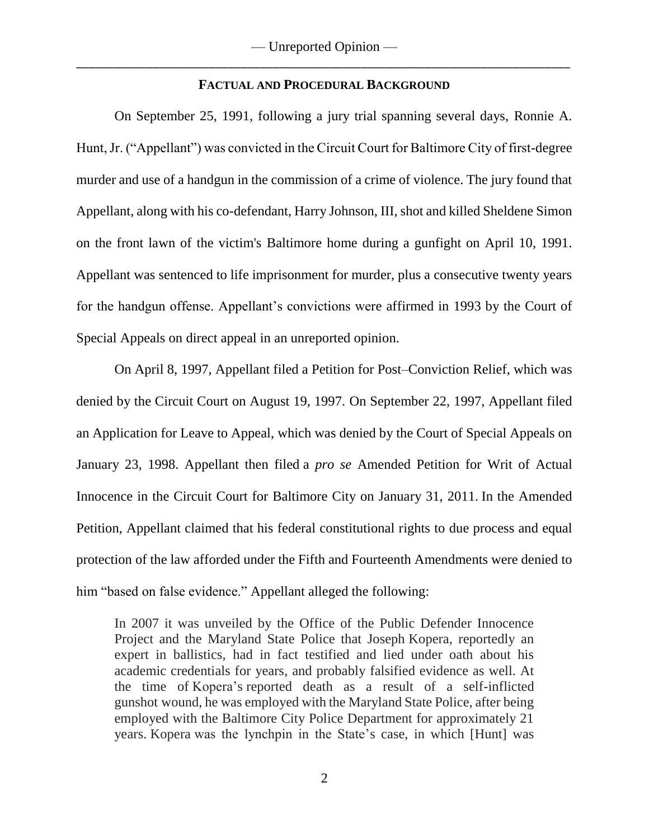## **FACTUAL AND PROCEDURAL BACKGROUND**

On September 25, 1991, following a jury trial spanning several days, Ronnie A. Hunt, Jr. ("Appellant") was convicted in the Circuit Court for Baltimore City of first-degree murder and use of a handgun in the commission of a crime of violence. The jury found that Appellant, along with his co-defendant, Harry Johnson, III, shot and killed Sheldene Simon on the front lawn of the victim's Baltimore home during a gunfight on April 10, 1991. Appellant was sentenced to life imprisonment for murder, plus a consecutive twenty years for the handgun offense. Appellant's convictions were affirmed in 1993 by the Court of Special Appeals on direct appeal in an unreported opinion.

On April 8, 1997, Appellant filed a Petition for Post–Conviction Relief, which was denied by the Circuit Court on August 19, 1997. On September 22, 1997, Appellant filed an Application for Leave to Appeal, which was denied by the Court of Special Appeals on January 23, 1998. Appellant then filed a *pro se* Amended Petition for Writ of Actual Innocence in the Circuit Court for Baltimore City on January 31, 2011. In the Amended Petition, Appellant claimed that his federal constitutional rights to due process and equal protection of the law afforded under the Fifth and Fourteenth Amendments were denied to him "based on false evidence." Appellant alleged the following:

In 2007 it was unveiled by the Office of the Public Defender Innocence Project and the Maryland State Police that Joseph Kopera, reportedly an expert in ballistics, had in fact testified and lied under oath about his academic credentials for years, and probably falsified evidence as well. At the time of Kopera's reported death as a result of a self-inflicted gunshot wound, he was employed with the Maryland State Police, after being employed with the Baltimore City Police Department for approximately 21 years. Kopera was the lynchpin in the State's case, in which [Hunt] was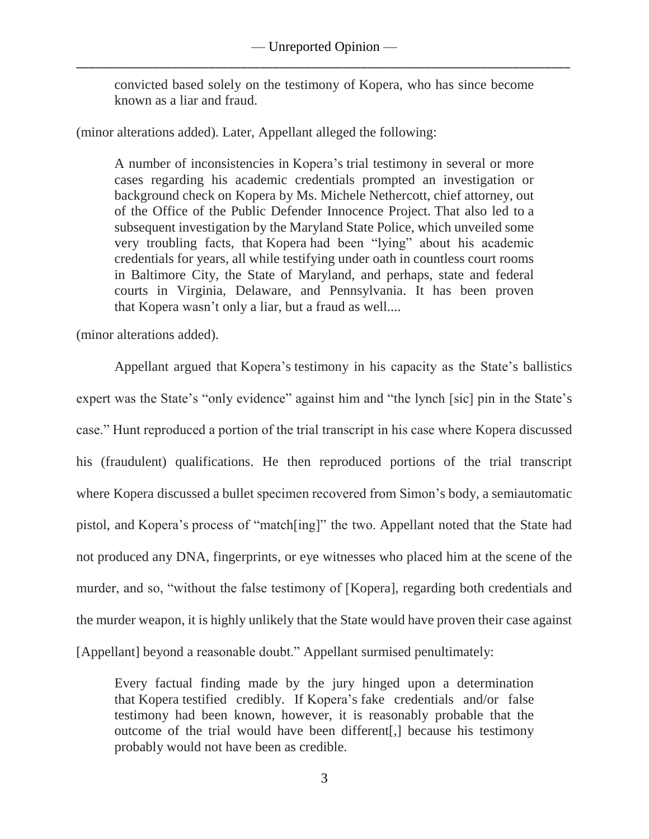convicted based solely on the testimony of Kopera, who has since become known as a liar and fraud.

(minor alterations added). Later, Appellant alleged the following:

A number of inconsistencies in Kopera's trial testimony in several or more cases regarding his academic credentials prompted an investigation or background check on Kopera by Ms. Michele Nethercott, chief attorney, out of the Office of the Public Defender Innocence Project. That also led to a subsequent investigation by the Maryland State Police, which unveiled some very troubling facts, that Kopera had been "lying" about his academic credentials for years, all while testifying under oath in countless court rooms in Baltimore City, the State of Maryland, and perhaps, state and federal courts in Virginia, Delaware, and Pennsylvania. It has been proven that Kopera wasn't only a liar, but a fraud as well....

(minor alterations added).

Appellant argued that Kopera's testimony in his capacity as the State's ballistics expert was the State's "only evidence" against him and "the lynch [sic] pin in the State's case." Hunt reproduced a portion of the trial transcript in his case where Kopera discussed his (fraudulent) qualifications. He then reproduced portions of the trial transcript where Kopera discussed a bullet specimen recovered from Simon's body, a semiautomatic pistol, and Kopera's process of "match[ing]" the two. Appellant noted that the State had not produced any DNA, fingerprints, or eye witnesses who placed him at the scene of the murder, and so, "without the false testimony of [Kopera], regarding both credentials and the murder weapon, it is highly unlikely that the State would have proven their case against [Appellant] beyond a reasonable doubt." Appellant surmised penultimately:

Every factual finding made by the jury hinged upon a determination that Kopera testified credibly. If Kopera's fake credentials and/or false testimony had been known, however, it is reasonably probable that the outcome of the trial would have been different[,] because his testimony probably would not have been as credible.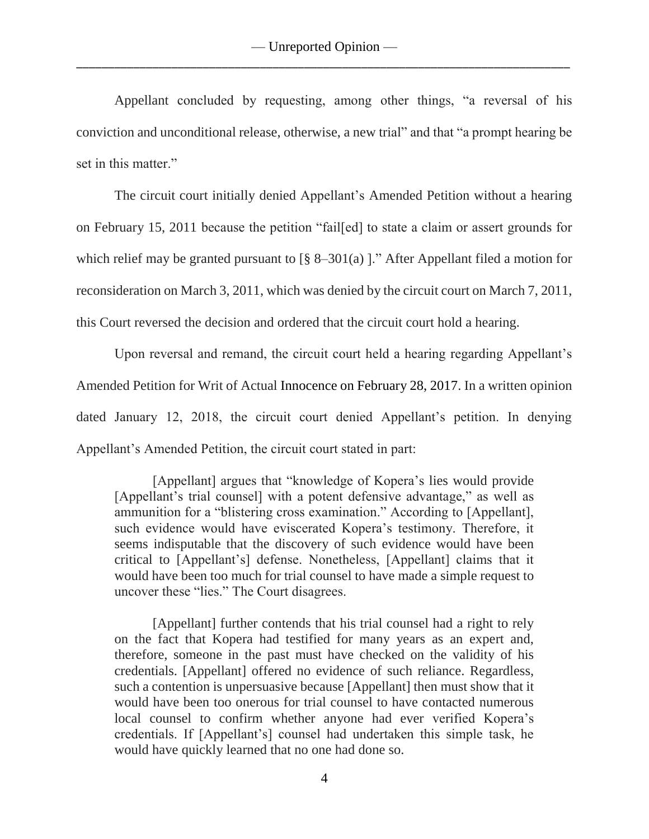Appellant concluded by requesting, among other things, "a reversal of his conviction and unconditional release, otherwise, a new trial" and that "a prompt hearing be set in this matter."

The circuit court initially denied Appellant's Amended Petition without a hearing on February 15, 2011 because the petition "fail[ed] to state a claim or assert grounds for which relief may be granted pursuant to  $\lceil \frac{8}{5} \rceil 8 - 301 \rceil$  and  $\lceil \frac{1}{2} \rceil$ . After Appellant filed a motion for reconsideration on March 3, 2011, which was denied by the circuit court on March 7, 2011, this Court reversed the decision and ordered that the circuit court hold a hearing.

Upon reversal and remand, the circuit court held a hearing regarding Appellant's Amended Petition for Writ of Actual Innocence on February 28, 2017. In a written opinion dated January 12, 2018, the circuit court denied Appellant's petition. In denying Appellant's Amended Petition, the circuit court stated in part:

[Appellant] argues that "knowledge of Kopera's lies would provide [Appellant's trial counsel] with a potent defensive advantage," as well as ammunition for a "blistering cross examination." According to [Appellant], such evidence would have eviscerated Kopera's testimony. Therefore, it seems indisputable that the discovery of such evidence would have been critical to [Appellant's] defense. Nonetheless, [Appellant] claims that it would have been too much for trial counsel to have made a simple request to uncover these "lies." The Court disagrees.

[Appellant] further contends that his trial counsel had a right to rely on the fact that Kopera had testified for many years as an expert and, therefore, someone in the past must have checked on the validity of his credentials. [Appellant] offered no evidence of such reliance. Regardless, such a contention is unpersuasive because [Appellant] then must show that it would have been too onerous for trial counsel to have contacted numerous local counsel to confirm whether anyone had ever verified Kopera's credentials. If [Appellant's] counsel had undertaken this simple task, he would have quickly learned that no one had done so.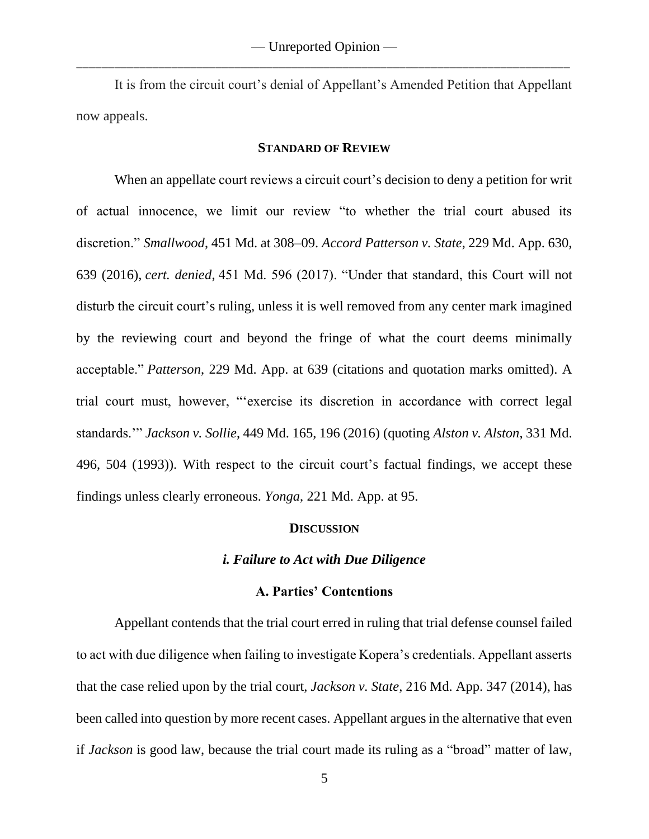It is from the circuit court's denial of Appellant's Amended Petition that Appellant now appeals.

### **STANDARD OF REVIEW**

When an appellate court reviews a circuit court's decision to deny a petition for writ of actual innocence, we limit our review "to whether the trial court abused its discretion." *Smallwood*, 451 Md. at 308–09. *Accord Patterson v. State*, 229 Md. App. 630, 639 (2016), *cert. denied*, 451 Md. 596 (2017). "Under that standard, this Court will not disturb the circuit court's ruling, unless it is well removed from any center mark imagined by the reviewing court and beyond the fringe of what the court deems minimally acceptable." *Patterson*, 229 Md. App. at 639 (citations and quotation marks omitted). A trial court must, however, "'exercise its discretion in accordance with correct legal standards.'" *Jackson v. Sollie*, 449 Md. 165, 196 (2016) (quoting *Alston v. Alston*, 331 Md. 496, 504 (1993)). With respect to the circuit court's factual findings, we accept these findings unless clearly erroneous. *Yonga*, 221 Md. App. at 95.

### **DISCUSSION**

### *i. Failure to Act with Due Diligence*

### **A. Parties' Contentions**

Appellant contends that the trial court erred in ruling that trial defense counsel failed to act with due diligence when failing to investigate Kopera's credentials. Appellant asserts that the case relied upon by the trial court, *Jackson v. State*, 216 Md. App. 347 (2014), has been called into question by more recent cases. Appellant argues in the alternative that even if *Jackson* is good law, because the trial court made its ruling as a "broad" matter of law,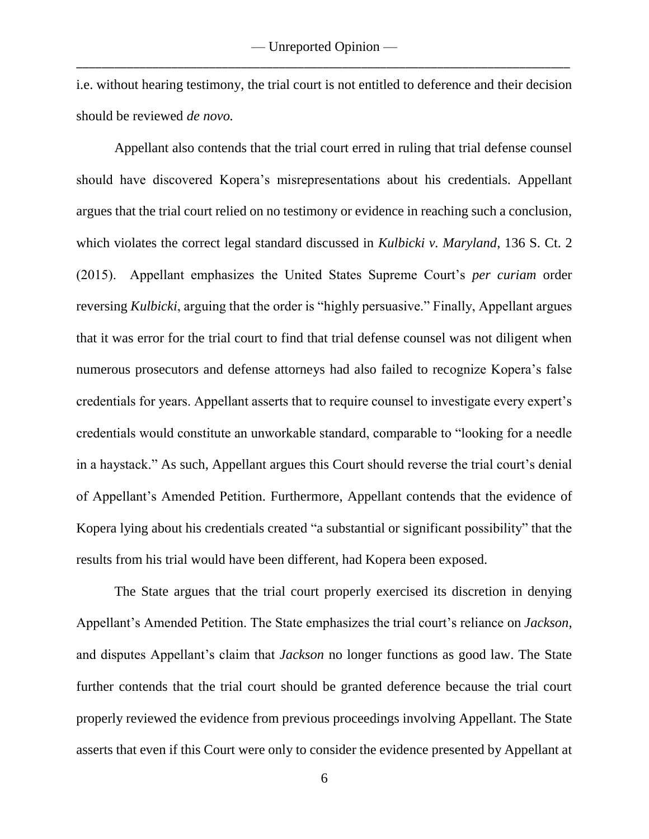i.e. without hearing testimony, the trial court is not entitled to deference and their decision should be reviewed *de novo.*

Appellant also contends that the trial court erred in ruling that trial defense counsel should have discovered Kopera's misrepresentations about his credentials. Appellant argues that the trial court relied on no testimony or evidence in reaching such a conclusion, which violates the correct legal standard discussed in *Kulbicki v. Maryland*, 136 S. Ct. 2 (2015). Appellant emphasizes the United States Supreme Court's *per curiam* order reversing *Kulbicki*, arguing that the order is "highly persuasive." Finally, Appellant argues that it was error for the trial court to find that trial defense counsel was not diligent when numerous prosecutors and defense attorneys had also failed to recognize Kopera's false credentials for years. Appellant asserts that to require counsel to investigate every expert's credentials would constitute an unworkable standard, comparable to "looking for a needle in a haystack." As such, Appellant argues this Court should reverse the trial court's denial of Appellant's Amended Petition. Furthermore, Appellant contends that the evidence of Kopera lying about his credentials created "a substantial or significant possibility" that the results from his trial would have been different, had Kopera been exposed.

The State argues that the trial court properly exercised its discretion in denying Appellant's Amended Petition. The State emphasizes the trial court's reliance on *Jackson*, and disputes Appellant's claim that *Jackson* no longer functions as good law. The State further contends that the trial court should be granted deference because the trial court properly reviewed the evidence from previous proceedings involving Appellant. The State asserts that even if this Court were only to consider the evidence presented by Appellant at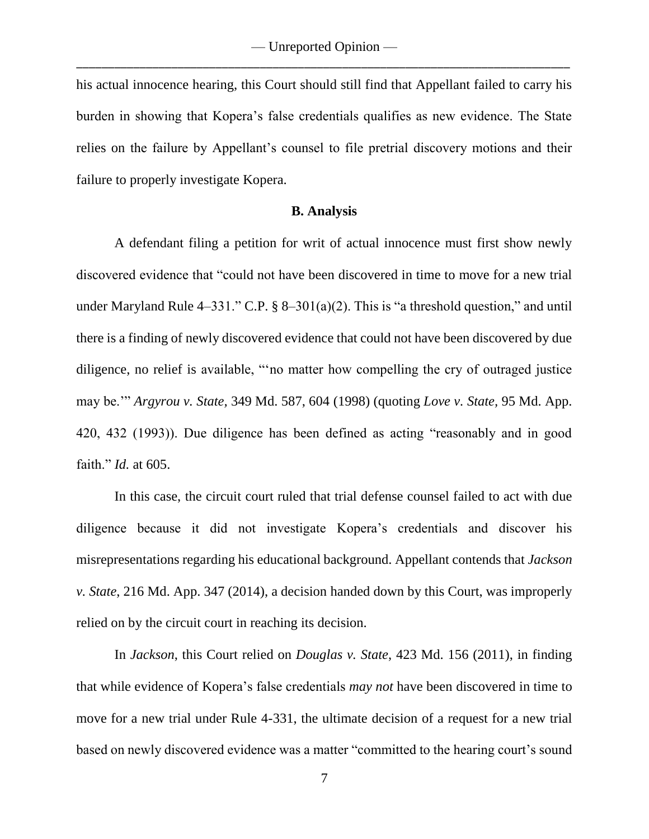his actual innocence hearing, this Court should still find that Appellant failed to carry his burden in showing that Kopera's false credentials qualifies as new evidence. The State relies on the failure by Appellant's counsel to file pretrial discovery motions and their failure to properly investigate Kopera.

### **B. Analysis**

A defendant filing a petition for writ of actual innocence must first show newly discovered evidence that "could not have been discovered in time to move for a new trial under Maryland Rule  $4-331$ ." C.P. §  $8-301(a)(2)$ . This is "a threshold question," and until there is a finding of newly discovered evidence that could not have been discovered by due diligence, no relief is available, "'no matter how compelling the cry of outraged justice may be.'" *Argyrou v. State,* 349 Md. 587, 604 (1998) (quoting *Love v. State,* 95 Md. App. 420, 432 (1993)). Due diligence has been defined as acting "reasonably and in good faith." *Id.* at 605.

In this case, the circuit court ruled that trial defense counsel failed to act with due diligence because it did not investigate Kopera's credentials and discover his misrepresentations regarding his educational background. Appellant contends that *Jackson v. State*, 216 Md. App. 347 (2014), a decision handed down by this Court, was improperly relied on by the circuit court in reaching its decision.

In *Jackson*, this Court relied on *Douglas v. State*, 423 Md. 156 (2011), in finding that while evidence of Kopera's false credentials *may not* have been discovered in time to move for a new trial under Rule 4-331, the ultimate decision of a request for a new trial based on newly discovered evidence was a matter "committed to the hearing court's sound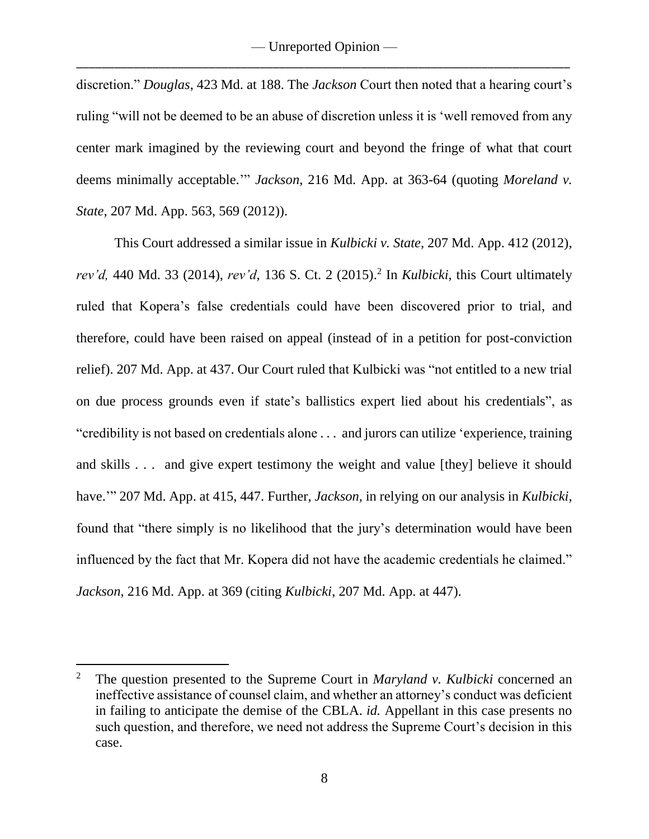discretion." *Douglas*, 423 Md. at 188. The *Jackson* Court then noted that a hearing court's ruling "will not be deemed to be an abuse of discretion unless it is 'well removed from any center mark imagined by the reviewing court and beyond the fringe of what that court deems minimally acceptable.'" *Jackson*, 216 Md. App. at 363-64 (quoting *Moreland v. State*, 207 Md. App. 563, 569 (2012)).

This Court addressed a similar issue in *Kulbicki v. State*, 207 Md. App. 412 (2012), *rev'd,* 440 Md. 33 (2014), *rev'd*, 136 S. Ct. 2 (2015). 2 In *Kulbicki*, this Court ultimately ruled that Kopera's false credentials could have been discovered prior to trial, and therefore, could have been raised on appeal (instead of in a petition for post-conviction relief). 207 Md. App. at 437. Our Court ruled that Kulbicki was "not entitled to a new trial on due process grounds even if state's ballistics expert lied about his credentials", as "credibility is not based on credentials alone . . . and jurors can utilize 'experience, training and skills . . . and give expert testimony the weight and value [they] believe it should have.'" 207 Md. App. at 415, 447. Further, *Jackson,* in relying on our analysis in *Kulbicki,* found that "there simply is no likelihood that the jury's determination would have been influenced by the fact that Mr. Kopera did not have the academic credentials he claimed." *Jackson,* 216 Md. App. at 369 (citing *Kulbicki*, 207 Md. App. at 447).

 $\overline{a}$ 

<sup>2</sup> The question presented to the Supreme Court in *Maryland v. Kulbicki* concerned an ineffective assistance of counsel claim, and whether an attorney's conduct was deficient in failing to anticipate the demise of the CBLA. *id.* Appellant in this case presents no such question, and therefore, we need not address the Supreme Court's decision in this case.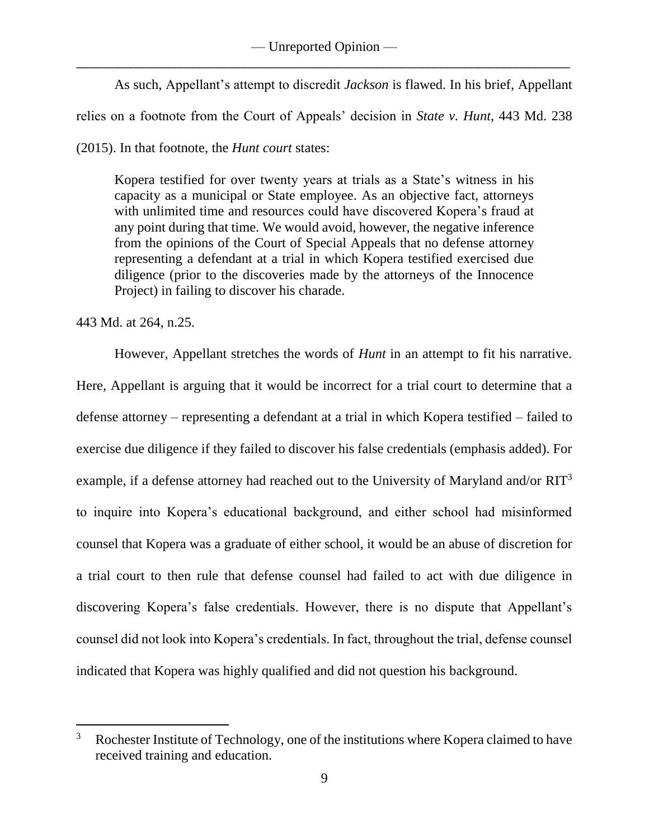# — Unreported Opinion — \_\_\_\_\_\_\_\_\_\_\_\_\_\_\_\_\_\_\_\_\_\_\_\_\_\_\_\_\_\_\_\_\_\_\_\_\_\_\_\_\_\_\_\_\_\_\_\_\_\_\_\_\_\_\_\_\_\_\_\_\_\_\_\_\_\_\_\_\_\_\_\_\_\_\_\_\_\_

As such, Appellant's attempt to discredit *Jackson* is flawed. In his brief, Appellant relies on a footnote from the Court of Appeals' decision in *State v. Hunt*, 443 Md. 238

(2015). In that footnote, the *Hunt court* states:

Kopera testified for over twenty years at trials as a State's witness in his capacity as a municipal or State employee. As an objective fact, attorneys with unlimited time and resources could have discovered Kopera's fraud at any point during that time. We would avoid, however, the negative inference from the opinions of the Court of Special Appeals that no defense attorney representing a defendant at a trial in which Kopera testified exercised due diligence (prior to the discoveries made by the attorneys of the Innocence Project) in failing to discover his charade.

443 Md. at 264, n.25.

 $\overline{a}$ 

However, Appellant stretches the words of *Hunt* in an attempt to fit his narrative. Here, Appellant is arguing that it would be incorrect for a trial court to determine that a defense attorney – representing a defendant at a trial in which Kopera testified – failed to exercise due diligence if they failed to discover his false credentials (emphasis added). For example, if a defense attorney had reached out to the University of Maryland and/or RIT<sup>3</sup> to inquire into Kopera's educational background, and either school had misinformed counsel that Kopera was a graduate of either school, it would be an abuse of discretion for a trial court to then rule that defense counsel had failed to act with due diligence in discovering Kopera's false credentials. However, there is no dispute that Appellant's counsel did not look into Kopera's credentials. In fact, throughout the trial, defense counsel indicated that Kopera was highly qualified and did not question his background.

<sup>&</sup>lt;sup>3</sup> Rochester Institute of Technology, one of the institutions where Kopera claimed to have received training and education.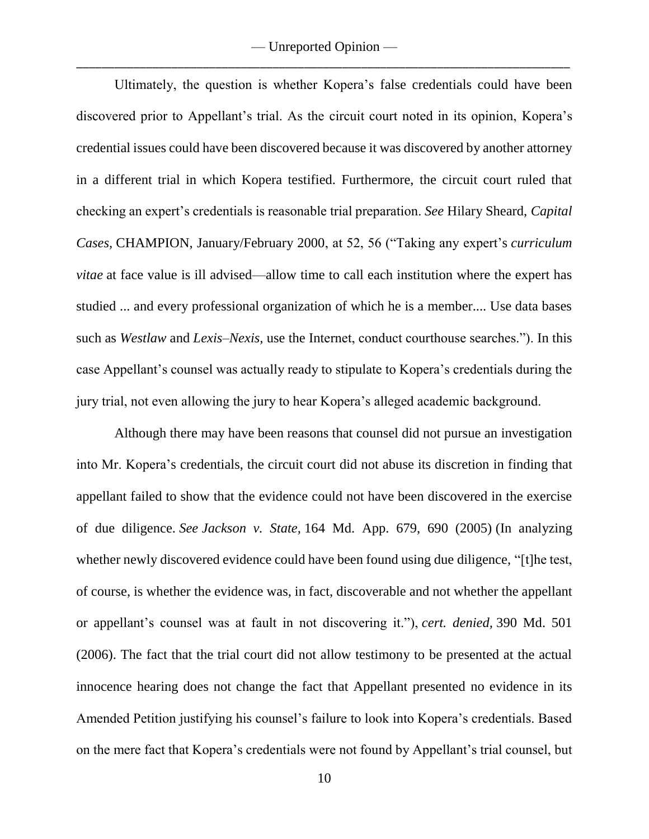Ultimately, the question is whether Kopera's false credentials could have been discovered prior to Appellant's trial. As the circuit court noted in its opinion, Kopera's credential issues could have been discovered because it was discovered by another attorney in a different trial in which Kopera testified. Furthermore, the circuit court ruled that checking an expert's credentials is reasonable trial preparation. *See* Hilary Sheard, *Capital Cases,* CHAMPION, January/February 2000, at 52, 56 ("Taking any expert's *curriculum vitae* at face value is ill advised—allow time to call each institution where the expert has studied ... and every professional organization of which he is a member.... Use data bases such as *Westlaw* and *Lexis–Nexis,* use the Internet, conduct courthouse searches."). In this case Appellant's counsel was actually ready to stipulate to Kopera's credentials during the jury trial, not even allowing the jury to hear Kopera's alleged academic background.

Although there may have been reasons that counsel did not pursue an investigation into Mr. Kopera's credentials, the circuit court did not abuse its discretion in finding that appellant failed to show that the evidence could not have been discovered in the exercise of due diligence. *See Jackson v. State,* 164 Md. App. 679, 690 (2005) (In analyzing whether newly discovered evidence could have been found using due diligence, "[t]he test, of course, is whether the evidence was, in fact, discoverable and not whether the appellant or appellant's counsel was at fault in not discovering it."), *cert. denied,* 390 Md. 501 (2006). The fact that the trial court did not allow testimony to be presented at the actual innocence hearing does not change the fact that Appellant presented no evidence in its Amended Petition justifying his counsel's failure to look into Kopera's credentials. Based on the mere fact that Kopera's credentials were not found by Appellant's trial counsel, but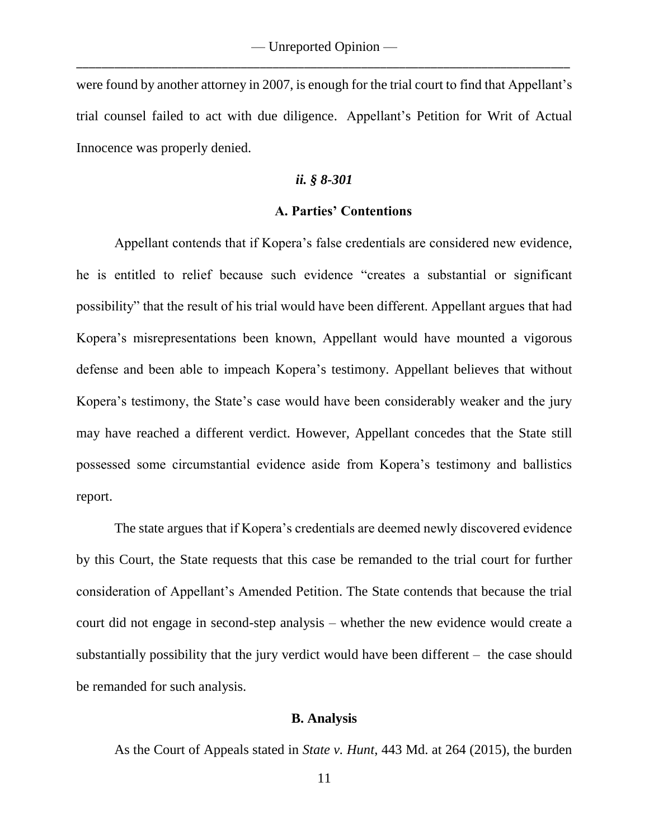were found by another attorney in 2007, is enough for the trial court to find that Appellant's trial counsel failed to act with due diligence. Appellant's Petition for Writ of Actual Innocence was properly denied.

### *ii. § 8-301*

# **A. Parties' Contentions**

Appellant contends that if Kopera's false credentials are considered new evidence, he is entitled to relief because such evidence "creates a substantial or significant possibility" that the result of his trial would have been different. Appellant argues that had Kopera's misrepresentations been known, Appellant would have mounted a vigorous defense and been able to impeach Kopera's testimony. Appellant believes that without Kopera's testimony, the State's case would have been considerably weaker and the jury may have reached a different verdict. However, Appellant concedes that the State still possessed some circumstantial evidence aside from Kopera's testimony and ballistics report.

The state argues that if Kopera's credentials are deemed newly discovered evidence by this Court, the State requests that this case be remanded to the trial court for further consideration of Appellant's Amended Petition. The State contends that because the trial court did not engage in second-step analysis – whether the new evidence would create a substantially possibility that the jury verdict would have been different – the case should be remanded for such analysis.

### **B. Analysis**

As the Court of Appeals stated in *State v. Hunt*, 443 Md. at 264 (2015), the burden